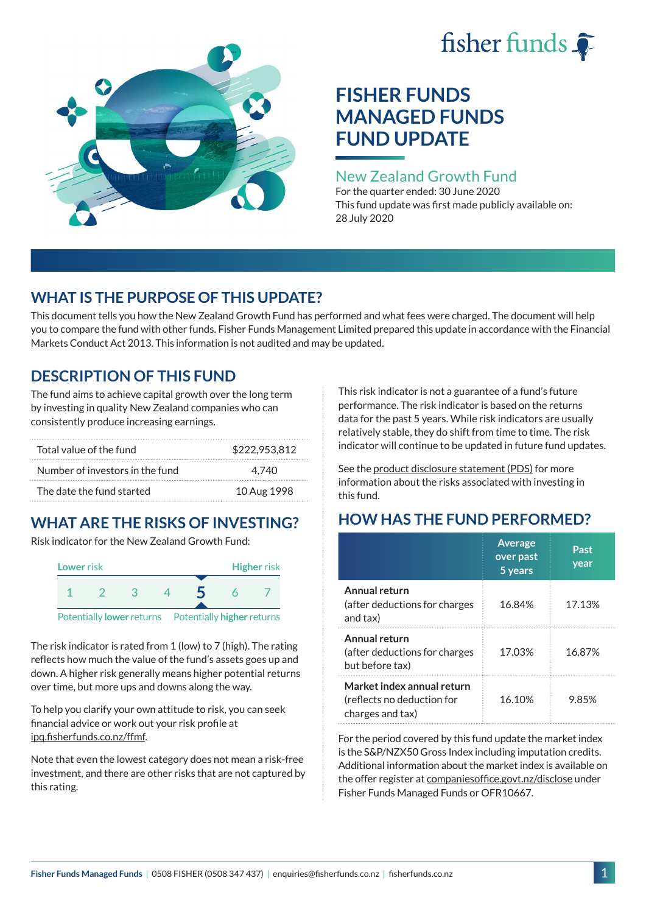# fisher funds  $\hat{\bullet}$



# **FISHER FUNDS MANAGED FUNDS FUND UPDATE**

## New Zealand Growth Fund

For the quarter ended: 30 June 2020 This fund update was first made publicly available on: 28 July 2020

# **WHAT IS THE PURPOSE OF THIS UPDATE?**

This document tells you how the New Zealand Growth Fund has performed and what fees were charged. The document will help you to compare the fund with other funds. Fisher Funds Management Limited prepared this update in accordance with the Financial Markets Conduct Act 2013. This information is not audited and may be updated.

# **DESCRIPTION OF THIS FUND**

The fund aims to achieve capital growth over the long term by investing in quality New Zealand companies who can consistently produce increasing earnings.

| Total value of the fund         | \$222,953,812 |
|---------------------------------|---------------|
| Number of investors in the fund | 4.740         |
| The date the fund started       | 10 Aug 1998   |

# **WHAT ARE THE RISKS OF INVESTING?**

Risk indicator for the New Zealand Growth Fund:



The risk indicator is rated from 1 (low) to 7 (high). The rating reflects how much the value of the fund's assets goes up and down. A higher risk generally means higher potential returns over time, but more ups and downs along the way.

To help you clarify your own attitude to risk, you can seek financial advice or work out your risk profile at [ipq.fisherfunds.co.nz/ffmf](https://ipq.fisherfunds.co.nz/ffmf).

Note that even the lowest category does not mean a risk-free investment, and there are other risks that are not captured by this rating.

This risk indicator is not a guarantee of a fund's future performance. The risk indicator is based on the returns data for the past 5 years. While risk indicators are usually relatively stable, they do shift from time to time. The risk indicator will continue to be updated in future fund updates.

See the [product disclosure statement \(PDS\)](https://fisherfunds.co.nz/assets/PDS/Fisher-Funds-Managed-Funds-PDS.pdf) for more information about the risks associated with investing in this fund.

# **HOW HAS THE FUND PERFORMED?**

|                                                                              | <b>Average</b><br>over past<br>5 years | Past<br>year |
|------------------------------------------------------------------------------|----------------------------------------|--------------|
| Annual return<br>(after deductions for charges<br>and tax)                   | 16.84%                                 | 17.13%       |
| Annual return<br>(after deductions for charges<br>but before tax)            | 17.03%                                 | 16.87%       |
| Market index annual return<br>(reflects no deduction for<br>charges and tax) | 16.10%                                 | 9.85%        |

For the period covered by this fund update the market index is the S&P/NZX50 Gross Index including imputation credits. Additional information about the market index is available on the offer register at [companiesoffice.govt.nz/disclose](http://companiesoffice.govt.nz/disclose) under Fisher Funds Managed Funds or OFR10667.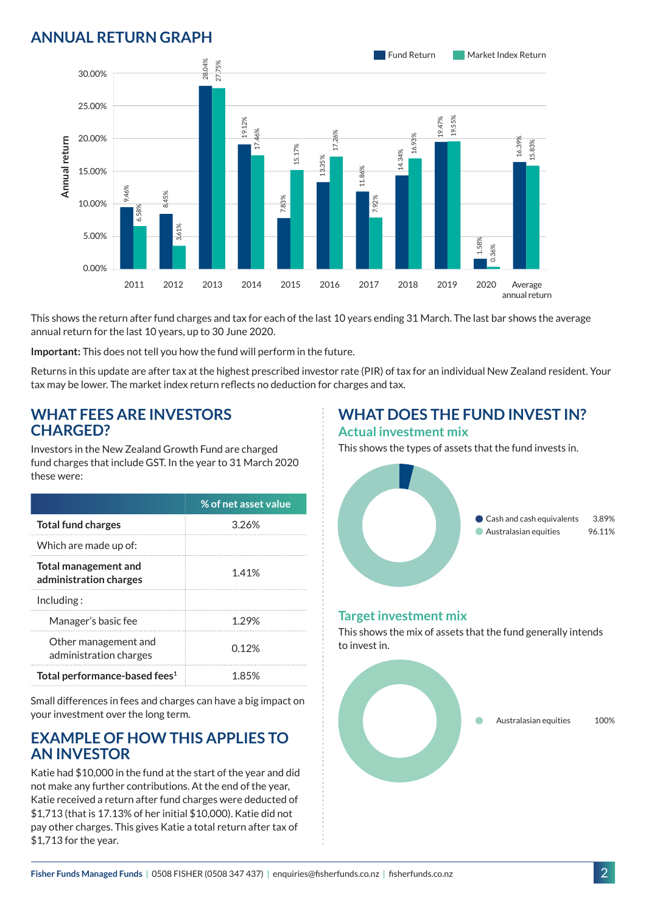## **ANNUAL RETURN GRAPH**



This shows the return after fund charges and tax for each of the last 10 years ending 31 March. The last bar shows the average annual return for the last 10 years, up to 30 June 2020.

**Important:** This does not tell you how the fund will perform in the future.

Returns in this update are after tax at the highest prescribed investor rate (PIR) of tax for an individual New Zealand resident. Your tax may be lower. The market index return reflects no deduction for charges and tax.

#### **WHAT FEES ARE INVESTORS CHARGED?**

Investors in the New Zealand Growth Fund are charged fund charges that include GST. In the year to 31 March 2020 these were:

|                                                | % of net asset value |
|------------------------------------------------|----------------------|
| <b>Total fund charges</b>                      | 3.26%                |
| Which are made up of:                          |                      |
| Total management and<br>administration charges | 1.41%                |
| Inding:                                        |                      |
| Manager's basic fee                            | 1.29%                |
| Other management and<br>administration charges | 0.12 <sup>%</sup>    |
| Total performance-based fees <sup>1</sup>      | 1 85%                |

Small differences in fees and charges can have a big impact on your investment over the long term.

#### **EXAMPLE OF HOW THIS APPLIES TO AN INVESTOR**

Katie had \$10,000 in the fund at the start of the year and did not make any further contributions. At the end of the year, Katie received a return after fund charges were deducted of \$1,713 (that is 17.13% of her initial \$10,000). Katie did not pay other charges. This gives Katie a total return after tax of \$1,713 for the year.

#### **WHAT DOES THE FUND INVEST IN? Actual investment mix**

This shows the types of assets that the fund invests in.



#### **Target investment mix**

This shows the mix of assets that the fund generally intends to invest in.